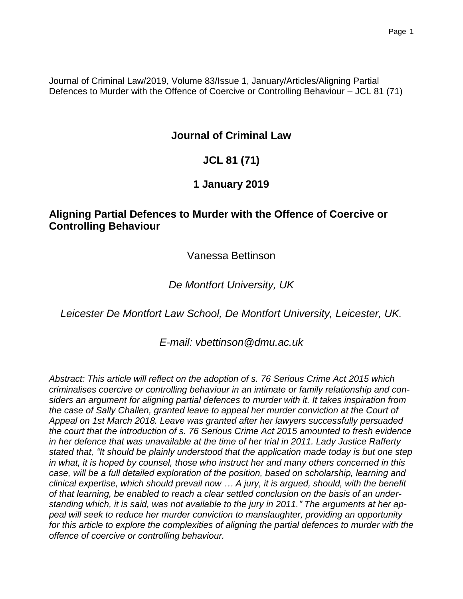Journal of Criminal Law/2019, Volume 83/Issue 1, January/Articles/Aligning Partial Defences to Murder with the Offence of Coercive or Controlling Behaviour – JCL 81 (71)

# **Journal of Criminal Law**

# **JCL 81 (71)**

# **1 January 2019**

### **Aligning Partial Defences to Murder with the Offence of Coercive or Controlling Behaviour**

Vanessa Bettinson

# *De Montfort University, UK*

### *Leicester De Montfort Law School, De Montfort University, Leicester, UK.*

### *E-mail: vbettinson@dmu.ac.uk*

*Abstract: This article will reflect on the adoption of s. 76 Serious Crime Act 2015 which criminalises coercive or controlling behaviour in an intimate or family relationship and considers an argument for aligning partial defences to murder with it. It takes inspiration from the case of Sally Challen, granted leave to appeal her murder conviction at the Court of Appeal on 1st March 2018. Leave was granted after her lawyers successfully persuaded the court that the introduction of s. 76 Serious Crime Act 2015 amounted to fresh evidence in her defence that was unavailable at the time of her trial in 2011. Lady Justice Rafferty stated that, "It should be plainly understood that the application made today is but one step in what, it is hoped by counsel, those who instruct her and many others concerned in this case, will be a full detailed exploration of the position, based on scholarship, learning and clinical expertise, which should prevail now … A jury, it is argued, should, with the benefit of that learning, be enabled to reach a clear settled conclusion on the basis of an understanding which, it is said, was not available to the jury in 2011." The arguments at her appeal will seek to reduce her murder conviction to manslaughter, providing an opportunity*  for this article to explore the complexities of aligning the partial defences to murder with the *offence of coercive or controlling behaviour.*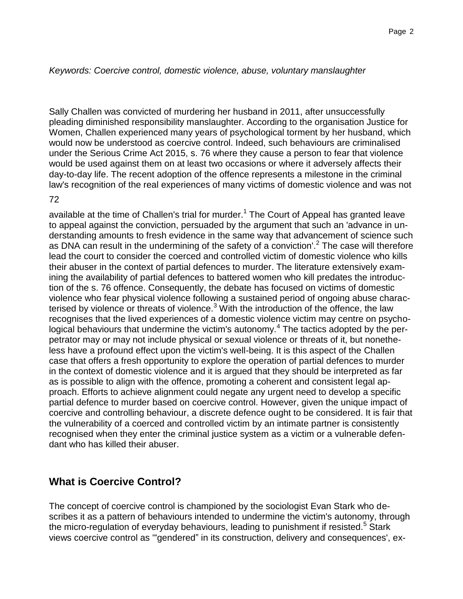### *Keywords: Coercive control, domestic violence, abuse, voluntary manslaughter*

Sally Challen was convicted of murdering her husband in 2011, after unsuccessfully pleading diminished responsibility manslaughter. According to the organisation Justice for Women, Challen experienced many years of psychological torment by her husband, which would now be understood as coercive control. Indeed, such behaviours are criminalised under the Serious Crime Act 2015, s. 76 where they cause a person to fear that violence would be used against them on at least two occasions or where it adversely affects their day-to-day life. The recent adoption of the offence represents a milestone in the criminal law's recognition of the real experiences of many victims of domestic violence and was not

### 72

available at the time of Challen's trial for murder.<sup>1</sup> The Court of Appeal has granted leave to appeal against the conviction, persuaded by the argument that such an 'advance in understanding amounts to fresh evidence in the same way that advancement of science such as DNA can result in the undermining of the safety of a conviction'.<sup>2</sup> The case will therefore lead the court to consider the coerced and controlled victim of domestic violence who kills their abuser in the context of partial defences to murder. The literature extensively examining the availability of partial defences to battered women who kill predates the introduction of the s. 76 offence. Consequently, the debate has focused on victims of domestic violence who fear physical violence following a sustained period of ongoing abuse characterised by violence or threats of violence.<sup>3</sup> With the introduction of the offence, the law recognises that the lived experiences of a domestic violence victim may centre on psychological behaviours that undermine the victim's autonomy.<sup>4</sup> The tactics adopted by the perpetrator may or may not include physical or sexual violence or threats of it, but nonetheless have a profound effect upon the victim's well-being. It is this aspect of the Challen case that offers a fresh opportunity to explore the operation of partial defences to murder in the context of domestic violence and it is argued that they should be interpreted as far as is possible to align with the offence, promoting a coherent and consistent legal approach. Efforts to achieve alignment could negate any urgent need to develop a specific partial defence to murder based on coercive control. However, given the unique impact of coercive and controlling behaviour, a discrete defence ought to be considered. It is fair that the vulnerability of a coerced and controlled victim by an intimate partner is consistently recognised when they enter the criminal justice system as a victim or a vulnerable defendant who has killed their abuser.

### **What is Coercive Control?**

The concept of coercive control is championed by the sociologist Evan Stark who describes it as a pattern of behaviours intended to undermine the victim's autonomy, through the micro-regulation of everyday behaviours, leading to punishment if resisted. $5$  Stark views coercive control as '"gendered" in its construction, delivery and consequences', ex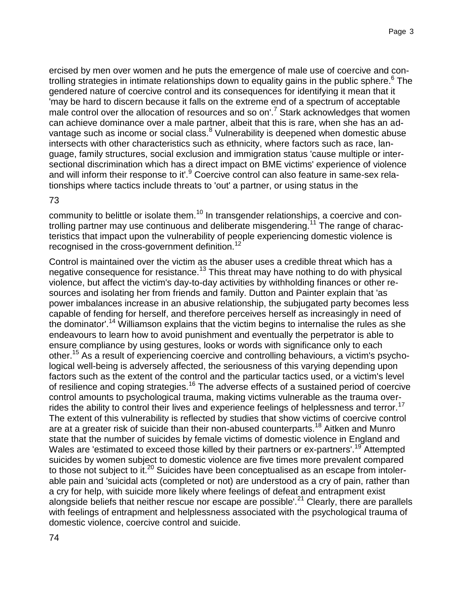ercised by men over women and he puts the emergence of male use of coercive and controlling strategies in intimate relationships down to equality gains in the public sphere.<sup>6</sup> The gendered nature of coercive control and its consequences for identifying it mean that it 'may be hard to discern because it falls on the extreme end of a spectrum of acceptable male control over the allocation of resources and so on'.<sup>7</sup> Stark acknowledges that women can achieve dominance over a male partner, albeit that this is rare, when she has an advantage such as income or social class.<sup>8</sup> Vulnerability is deepened when domestic abuse intersects with other characteristics such as ethnicity, where factors such as race, language, family structures, social exclusion and immigration status 'cause multiple or intersectional discrimination which has a direct impact on BME victims' experience of violence and will inform their response to it". $9^9$  Coercive control can also feature in same-sex relationships where tactics include threats to 'out' a partner, or using status in the

### 73

community to belittle or isolate them.<sup>10</sup> In transgender relationships, a coercive and controlling partner may use continuous and deliberate misgendering.<sup>11</sup> The range of characteristics that impact upon the vulnerability of people experiencing domestic violence is recognised in the cross-government definition.<sup>12</sup>

Control is maintained over the victim as the abuser uses a credible threat which has a negative consequence for resistance.<sup>13</sup> This threat may have nothing to do with physical violence, but affect the victim's day-to-day activities by withholding finances or other resources and isolating her from friends and family. Dutton and Painter explain that 'as power imbalances increase in an abusive relationship, the subjugated party becomes less capable of fending for herself, and therefore perceives herself as increasingly in need of the dominator'.<sup>14</sup> Williamson explains that the victim begins to internalise the rules as she endeavours to learn how to avoid punishment and eventually the perpetrator is able to ensure compliance by using gestures, looks or words with significance only to each other.<sup>15</sup> As a result of experiencing coercive and controlling behaviours, a victim's psychological well-being is adversely affected, the seriousness of this varying depending upon factors such as the extent of the control and the particular tactics used, or a victim's level of resilience and coping strategies.<sup>16</sup> The adverse effects of a sustained period of coercive control amounts to psychological trauma, making victims vulnerable as the trauma overrides the ability to control their lives and experience feelings of helplessness and terror.<sup>17</sup> The extent of this vulnerability is reflected by studies that show victims of coercive control are at a greater risk of suicide than their non-abused counterparts.<sup>18</sup> Aitken and Munro state that the number of suicides by female victims of domestic violence in England and Wales are 'estimated to exceed those killed by their partners or ex-partners'.<sup>19</sup> Attempted suicides by women subject to domestic violence are five times more prevalent compared to those not subject to it.<sup>20</sup> Suicides have been conceptualised as an escape from intolerable pain and 'suicidal acts (completed or not) are understood as a cry of pain, rather than a cry for help, with suicide more likely where feelings of defeat and entrapment exist alongside beliefs that neither rescue nor escape are possible'.<sup>21</sup> Clearly, there are parallels with feelings of entrapment and helplessness associated with the psychological trauma of domestic violence, coercive control and suicide.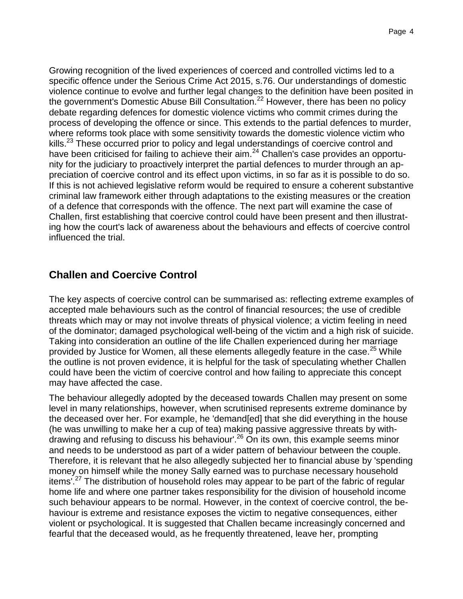Growing recognition of the lived experiences of coerced and controlled victims led to a specific offence under the Serious Crime Act 2015, s.76. Our understandings of domestic violence continue to evolve and further legal changes to the definition have been posited in the government's Domestic Abuse Bill Consultation.<sup>22</sup> However, there has been no policy debate regarding defences for domestic violence victims who commit crimes during the process of developing the offence or since. This extends to the partial defences to murder, where reforms took place with some sensitivity towards the domestic violence victim who kills.<sup>23</sup> These occurred prior to policy and legal understandings of coercive control and have been criticised for failing to achieve their aim.<sup>24</sup> Challen's case provides an opportunity for the judiciary to proactively interpret the partial defences to murder through an appreciation of coercive control and its effect upon victims, in so far as it is possible to do so. If this is not achieved legislative reform would be required to ensure a coherent substantive criminal law framework either through adaptations to the existing measures or the creation of a defence that corresponds with the offence. The next part will examine the case of Challen, first establishing that coercive control could have been present and then illustrating how the court's lack of awareness about the behaviours and effects of coercive control influenced the trial.

## **Challen and Coercive Control**

The key aspects of coercive control can be summarised as: reflecting extreme examples of accepted male behaviours such as the control of financial resources; the use of credible threats which may or may not involve threats of physical violence; a victim feeling in need of the dominator; damaged psychological well-being of the victim and a high risk of suicide. Taking into consideration an outline of the life Challen experienced during her marriage provided by Justice for Women, all these elements allegedly feature in the case.<sup>25</sup> While the outline is not proven evidence, it is helpful for the task of speculating whether Challen could have been the victim of coercive control and how failing to appreciate this concept may have affected the case.

The behaviour allegedly adopted by the deceased towards Challen may present on some level in many relationships, however, when scrutinised represents extreme dominance by the deceased over her. For example, he 'demand[ed] that she did everything in the house (he was unwilling to make her a cup of tea) making passive aggressive threats by withdrawing and refusing to discuss his behaviour'.<sup>26</sup> On its own, this example seems minor and needs to be understood as part of a wider pattern of behaviour between the couple. Therefore, it is relevant that he also allegedly subjected her to financial abuse by 'spending money on himself while the money Sally earned was to purchase necessary household items<sup>'.27</sup> The distribution of household roles may appear to be part of the fabric of regular home life and where one partner takes responsibility for the division of household income such behaviour appears to be normal. However, in the context of coercive control, the behaviour is extreme and resistance exposes the victim to negative consequences, either violent or psychological. It is suggested that Challen became increasingly concerned and fearful that the deceased would, as he frequently threatened, leave her, prompting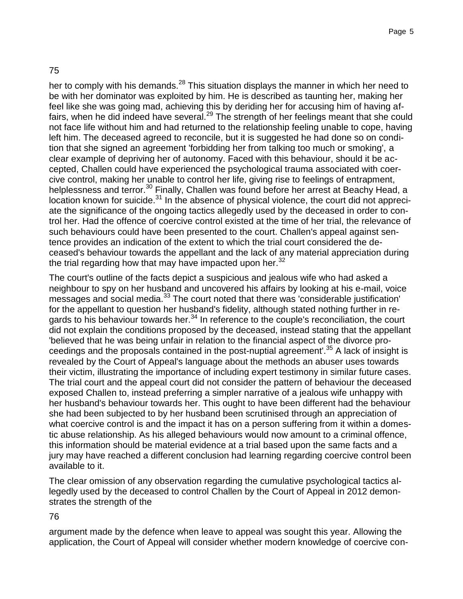### 75

her to comply with his demands.<sup>28</sup> This situation displays the manner in which her need to be with her dominator was exploited by him. He is described as taunting her, making her feel like she was going mad, achieving this by deriding her for accusing him of having affairs, when he did indeed have several.<sup>29</sup> The strength of her feelings meant that she could not face life without him and had returned to the relationship feeling unable to cope, having left him. The deceased agreed to reconcile, but it is suggested he had done so on condition that she signed an agreement 'forbidding her from talking too much or smoking', a clear example of depriving her of autonomy. Faced with this behaviour, should it be accepted, Challen could have experienced the psychological trauma associated with coercive control, making her unable to control her life, giving rise to feelings of entrapment, helplessness and terror.<sup>30</sup> Finally, Challen was found before her arrest at Beachy Head, a  $\frac{1}{2}$  location known for suicide.<sup>31</sup> In the absence of physical violence, the court did not appreciate the significance of the ongoing tactics allegedly used by the deceased in order to control her. Had the offence of coercive control existed at the time of her trial, the relevance of such behaviours could have been presented to the court. Challen's appeal against sentence provides an indication of the extent to which the trial court considered the deceased's behaviour towards the appellant and the lack of any material appreciation during the trial regarding how that may have impacted upon her.<sup>32</sup>

The court's outline of the facts depict a suspicious and jealous wife who had asked a neighbour to spy on her husband and uncovered his affairs by looking at his e-mail, voice messages and social media.<sup>33</sup> The court noted that there was 'considerable justification' for the appellant to question her husband's fidelity, although stated nothing further in regards to his behaviour towards her. $34$  In reference to the couple's reconciliation, the court did not explain the conditions proposed by the deceased, instead stating that the appellant 'believed that he was being unfair in relation to the financial aspect of the divorce proceedings and the proposals contained in the post-nuptial agreement'.<sup>35</sup> A lack of insight is revealed by the Court of Appeal's language about the methods an abuser uses towards their victim, illustrating the importance of including expert testimony in similar future cases. The trial court and the appeal court did not consider the pattern of behaviour the deceased exposed Challen to, instead preferring a simpler narrative of a jealous wife unhappy with her husband's behaviour towards her. This ought to have been different had the behaviour she had been subjected to by her husband been scrutinised through an appreciation of what coercive control is and the impact it has on a person suffering from it within a domestic abuse relationship. As his alleged behaviours would now amount to a criminal offence, this information should be material evidence at a trial based upon the same facts and a jury may have reached a different conclusion had learning regarding coercive control been available to it.

The clear omission of any observation regarding the cumulative psychological tactics allegedly used by the deceased to control Challen by the Court of Appeal in 2012 demonstrates the strength of the

76

argument made by the defence when leave to appeal was sought this year. Allowing the application, the Court of Appeal will consider whether modern knowledge of coercive con-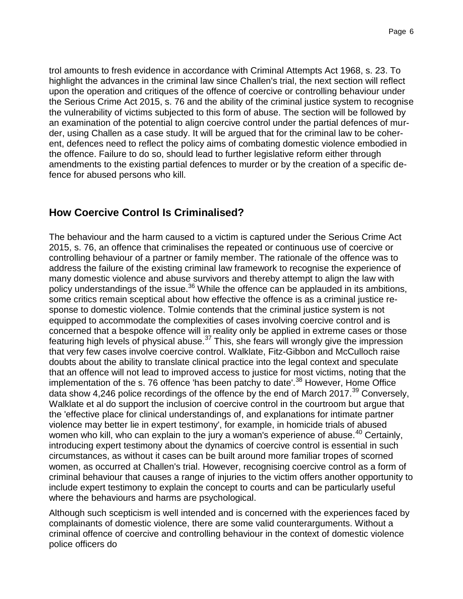trol amounts to fresh evidence in accordance with Criminal Attempts Act 1968, s. 23. To highlight the advances in the criminal law since Challen's trial, the next section will reflect upon the operation and critiques of the offence of coercive or controlling behaviour under the Serious Crime Act 2015, s. 76 and the ability of the criminal justice system to recognise the vulnerability of victims subjected to this form of abuse. The section will be followed by an examination of the potential to align coercive control under the partial defences of murder, using Challen as a case study. It will be argued that for the criminal law to be coherent, defences need to reflect the policy aims of combating domestic violence embodied in the offence. Failure to do so, should lead to further legislative reform either through amendments to the existing partial defences to murder or by the creation of a specific defence for abused persons who kill.

### **How Coercive Control Is Criminalised?**

The behaviour and the harm caused to a victim is captured under the Serious Crime Act 2015, s. 76, an offence that criminalises the repeated or continuous use of coercive or controlling behaviour of a partner or family member. The rationale of the offence was to address the failure of the existing criminal law framework to recognise the experience of many domestic violence and abuse survivors and thereby attempt to align the law with policy understandings of the issue. $36$  While the offence can be applauded in its ambitions, some critics remain sceptical about how effective the offence is as a criminal justice response to domestic violence. Tolmie contends that the criminal justice system is not equipped to accommodate the complexities of cases involving coercive control and is concerned that a bespoke offence will in reality only be applied in extreme cases or those featuring high levels of physical abuse. $37$  This, she fears will wrongly give the impression that very few cases involve coercive control. Walklate, Fitz-Gibbon and McCulloch raise doubts about the ability to translate clinical practice into the legal context and speculate that an offence will not lead to improved access to justice for most victims, noting that the implementation of the s. 76 offence 'has been patchy to date'.<sup>38</sup> However, Home Office data show 4,246 police recordings of the offence by the end of March 2017.<sup>39</sup> Conversely, Walklate et al do support the inclusion of coercive control in the courtroom but argue that the 'effective place for clinical understandings of, and explanations for intimate partner violence may better lie in expert testimony', for example, in homicide trials of abused women who kill, who can explain to the jury a woman's experience of abuse.<sup>40</sup> Certainly, introducing expert testimony about the dynamics of coercive control is essential in such circumstances, as without it cases can be built around more familiar tropes of scorned women, as occurred at Challen's trial. However, recognising coercive control as a form of criminal behaviour that causes a range of injuries to the victim offers another opportunity to include expert testimony to explain the concept to courts and can be particularly useful where the behaviours and harms are psychological.

Although such scepticism is well intended and is concerned with the experiences faced by complainants of domestic violence, there are some valid counterarguments. Without a criminal offence of coercive and controlling behaviour in the context of domestic violence police officers do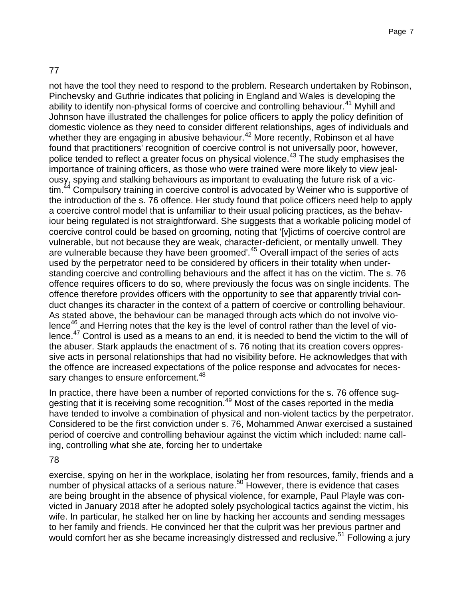### 77

not have the tool they need to respond to the problem. Research undertaken by Robinson, Pinchevsky and Guthrie indicates that policing in England and Wales is developing the ability to identify non-physical forms of coercive and controlling behaviour.<sup>41</sup> Myhill and Johnson have illustrated the challenges for police officers to apply the policy definition of domestic violence as they need to consider different relationships, ages of individuals and whether they are engaging in abusive behaviour.<sup>42</sup> More recently, Robinson et al have found that practitioners' recognition of coercive control is not universally poor, however, police tended to reflect a greater focus on physical violence.<sup>43</sup> The study emphasises the importance of training officers, as those who were trained were more likely to view jealousy, spying and stalking behaviours as important to evaluating the future risk of a victim.<sup>44</sup> Compulsory training in coercive control is advocated by Weiner who is supportive of the introduction of the s. 76 offence. Her study found that police officers need help to apply a coercive control model that is unfamiliar to their usual policing practices, as the behaviour being regulated is not straightforward. She suggests that a workable policing model of coercive control could be based on grooming, noting that '[v]ictims of coercive control are vulnerable, but not because they are weak, character-deficient, or mentally unwell. They are vulnerable because they have been groomed'.<sup>45</sup> Overall impact of the series of acts used by the perpetrator need to be considered by officers in their totality when understanding coercive and controlling behaviours and the affect it has on the victim. The s. 76 offence requires officers to do so, where previously the focus was on single incidents. The offence therefore provides officers with the opportunity to see that apparently trivial conduct changes its character in the context of a pattern of coercive or controlling behaviour. As stated above, the behaviour can be managed through acts which do not involve violence<sup>46</sup> and Herring notes that the key is the level of control rather than the level of violence.<sup>47</sup> Control is used as a means to an end, it is needed to bend the victim to the will of the abuser. Stark applauds the enactment of s. 76 noting that its creation covers oppressive acts in personal relationships that had no visibility before. He acknowledges that with the offence are increased expectations of the police response and advocates for necessary changes to ensure enforcement.<sup>48</sup>

In practice, there have been a number of reported convictions for the s. 76 offence suggesting that it is receiving some recognition.<sup>49</sup> Most of the cases reported in the media have tended to involve a combination of physical and non-violent tactics by the perpetrator. Considered to be the first conviction under s. 76, Mohammed Anwar exercised a sustained period of coercive and controlling behaviour against the victim which included: name calling, controlling what she ate, forcing her to undertake

#### 78

exercise, spying on her in the workplace, isolating her from resources, family, friends and a number of physical attacks of a serious nature.<sup>50</sup> However, there is evidence that cases are being brought in the absence of physical violence, for example, Paul Playle was convicted in January 2018 after he adopted solely psychological tactics against the victim, his wife. In particular, he stalked her on line by hacking her accounts and sending messages to her family and friends. He convinced her that the culprit was her previous partner and would comfort her as she became increasingly distressed and reclusive.<sup>51</sup> Following a jury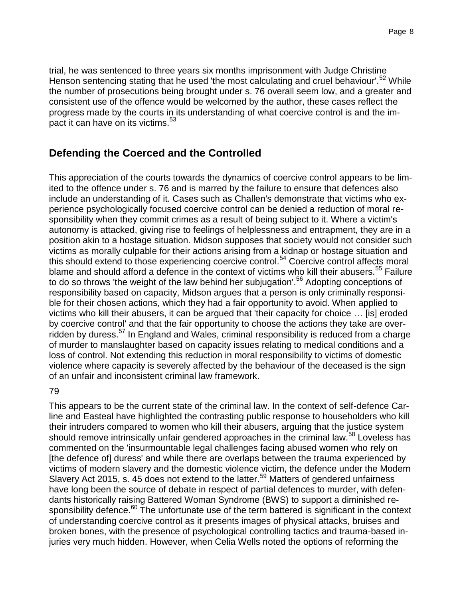trial, he was sentenced to three years six months imprisonment with Judge Christine Henson sentencing stating that he used 'the most calculating and cruel behaviour'.<sup>52</sup> While the number of prosecutions being brought under s. 76 overall seem low, and a greater and consistent use of the offence would be welcomed by the author, these cases reflect the progress made by the courts in its understanding of what coercive control is and the impact it can have on its victims.<sup>53</sup>

## **Defending the Coerced and the Controlled**

This appreciation of the courts towards the dynamics of coercive control appears to be limited to the offence under s. 76 and is marred by the failure to ensure that defences also include an understanding of it. Cases such as Challen's demonstrate that victims who experience psychologically focused coercive control can be denied a reduction of moral responsibility when they commit crimes as a result of being subject to it. Where a victim's autonomy is attacked, giving rise to feelings of helplessness and entrapment, they are in a position akin to a hostage situation. Midson supposes that society would not consider such victims as morally culpable for their actions arising from a kidnap or hostage situation and this should extend to those experiencing coercive control.<sup>54</sup> Coercive control affects moral blame and should afford a defence in the context of victims who kill their abusers.<sup>55</sup> Failure to do so throws 'the weight of the law behind her subjugation'.<sup>56</sup> Adopting conceptions of responsibility based on capacity, Midson argues that a person is only criminally responsible for their chosen actions, which they had a fair opportunity to avoid. When applied to victims who kill their abusers, it can be argued that 'their capacity for choice … [is] eroded by coercive control' and that the fair opportunity to choose the actions they take are overridden by duress.<sup>57</sup> In England and Wales, criminal responsibility is reduced from a charge of murder to manslaughter based on capacity issues relating to medical conditions and a loss of control. Not extending this reduction in moral responsibility to victims of domestic violence where capacity is severely affected by the behaviour of the deceased is the sign of an unfair and inconsistent criminal law framework.

### 79

This appears to be the current state of the criminal law. In the context of self-defence Carline and Easteal have highlighted the contrasting public response to householders who kill their intruders compared to women who kill their abusers, arguing that the justice system should remove intrinsically unfair gendered approaches in the criminal law.<sup>58</sup> Loveless has commented on the 'insurmountable legal challenges facing abused women who rely on [the defence of] duress' and while there are overlaps between the trauma experienced by victims of modern slavery and the domestic violence victim, the defence under the Modern Slavery Act 2015, s. 45 does not extend to the latter.<sup>59</sup> Matters of gendered unfairness have long been the source of debate in respect of partial defences to murder, with defendants historically raising Battered Woman Syndrome (BWS) to support a diminished responsibility defence.<sup>60</sup> The unfortunate use of the term battered is significant in the context of understanding coercive control as it presents images of physical attacks, bruises and broken bones, with the presence of psychological controlling tactics and trauma-based injuries very much hidden. However, when Celia Wells noted the options of reforming the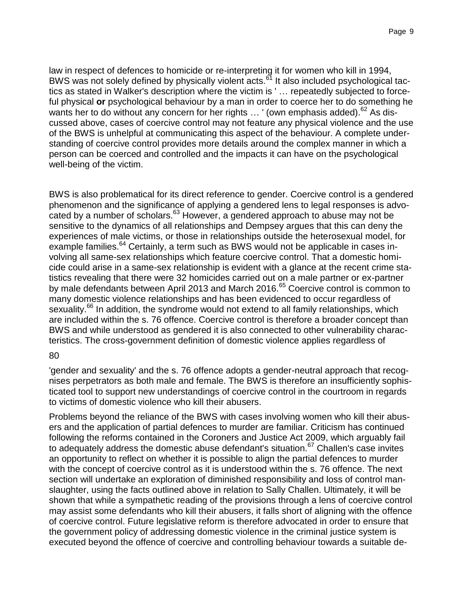law in respect of defences to homicide or re-interpreting it for women who kill in 1994, BWS was not solely defined by physically violent acts.<sup>61</sup> It also included psychological tactics as stated in Walker's description where the victim is ' … repeatedly subjected to forceful physical **or** psychological behaviour by a man in order to coerce her to do something he wants her to do without any concern for her rights ... ' (own emphasis added).<sup>62</sup> As discussed above, cases of coercive control may not feature any physical violence and the use of the BWS is unhelpful at communicating this aspect of the behaviour. A complete understanding of coercive control provides more details around the complex manner in which a person can be coerced and controlled and the impacts it can have on the psychological well-being of the victim.

BWS is also problematical for its direct reference to gender. Coercive control is a gendered phenomenon and the significance of applying a gendered lens to legal responses is advocated by a number of scholars. $63$  However, a gendered approach to abuse may not be sensitive to the dynamics of all relationships and Dempsey argues that this can deny the experiences of male victims, or those in relationships outside the heterosexual model, for example families.<sup>64</sup> Certainly, a term such as BWS would not be applicable in cases involving all same-sex relationships which feature coercive control. That a domestic homicide could arise in a same-sex relationship is evident with a glance at the recent crime statistics revealing that there were 32 homicides carried out on a male partner or ex-partner by male defendants between April 2013 and March 2016.<sup>65</sup> Coercive control is common to many domestic violence relationships and has been evidenced to occur regardless of sexuality.<sup>66</sup> In addition, the syndrome would not extend to all family relationships, which are included within the s. 76 offence. Coercive control is therefore a broader concept than BWS and while understood as gendered it is also connected to other vulnerability characteristics. The cross-government definition of domestic violence applies regardless of

#### 80

'gender and sexuality' and the s. 76 offence adopts a gender-neutral approach that recognises perpetrators as both male and female. The BWS is therefore an insufficiently sophisticated tool to support new understandings of coercive control in the courtroom in regards to victims of domestic violence who kill their abusers.

Problems beyond the reliance of the BWS with cases involving women who kill their abusers and the application of partial defences to murder are familiar. Criticism has continued following the reforms contained in the Coroners and Justice Act 2009, which arguably fail to adequately address the domestic abuse defendant's situation.<sup>67</sup> Challen's case invites an opportunity to reflect on whether it is possible to align the partial defences to murder with the concept of coercive control as it is understood within the s. 76 offence. The next section will undertake an exploration of diminished responsibility and loss of control manslaughter, using the facts outlined above in relation to Sally Challen. Ultimately, it will be shown that while a sympathetic reading of the provisions through a lens of coercive control may assist some defendants who kill their abusers, it falls short of aligning with the offence of coercive control. Future legislative reform is therefore advocated in order to ensure that the government policy of addressing domestic violence in the criminal justice system is executed beyond the offence of coercive and controlling behaviour towards a suitable de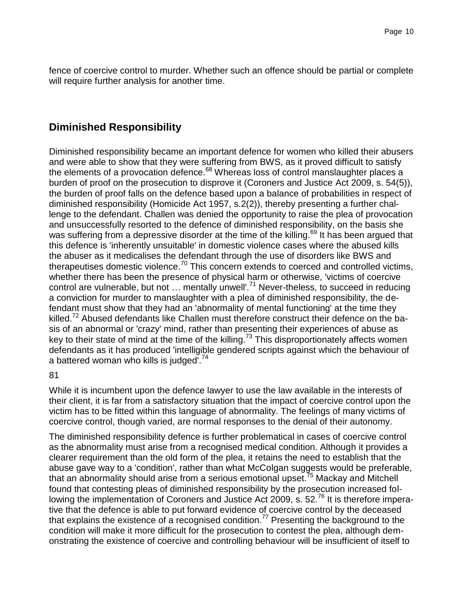fence of coercive control to murder. Whether such an offence should be partial or complete will require further analysis for another time.

# **Diminished Responsibility**

Diminished responsibility became an important defence for women who killed their abusers and were able to show that they were suffering from BWS, as it proved difficult to satisfy the elements of a provocation defence. $68$  Whereas loss of control manslaughter places a burden of proof on the prosecution to disprove it (Coroners and Justice Act 2009, s. 54(5)), the burden of proof falls on the defence based upon a balance of probabilities in respect of diminished responsibility (Homicide Act 1957, s.2(2)), thereby presenting a further challenge to the defendant. Challen was denied the opportunity to raise the plea of provocation and unsuccessfully resorted to the defence of diminished responsibility, on the basis she was suffering from a depressive disorder at the time of the killing.<sup>69</sup> It has been argued that this defence is 'inherently unsuitable' in domestic violence cases where the abused kills the abuser as it medicalises the defendant through the use of disorders like BWS and therapeutises domestic violence.<sup>70</sup> This concern extends to coerced and controlled victims, whether there has been the presence of physical harm or otherwise, 'victims of coercive control are vulnerable, but not  $\ldots$  mentally unwell'.<sup>71</sup> Never-theless, to succeed in reducing a conviction for murder to manslaughter with a plea of diminished responsibility, the defendant must show that they had an 'abnormality of mental functioning' at the time they killed.<sup>72</sup> Abused defendants like Challen must therefore construct their defence on the basis of an abnormal or 'crazy' mind, rather than presenting their experiences of abuse as key to their state of mind at the time of the killing.<sup>73</sup> This disproportionately affects women defendants as it has produced 'intelligible gendered scripts against which the behaviour of a battered woman who kills is judged'.<sup>74</sup>

### 81

While it is incumbent upon the defence lawyer to use the law available in the interests of their client, it is far from a satisfactory situation that the impact of coercive control upon the victim has to be fitted within this language of abnormality. The feelings of many victims of coercive control, though varied, are normal responses to the denial of their autonomy.

The diminished responsibility defence is further problematical in cases of coercive control as the abnormality must arise from a recognised medical condition. Although it provides a clearer requirement than the old form of the plea, it retains the need to establish that the abuse gave way to a 'condition', rather than what McColgan suggests would be preferable, that an abnormality should arise from a serious emotional upset.<sup>75</sup> Mackay and Mitchell found that contesting pleas of diminished responsibility by the prosecution increased following the implementation of Coroners and Justice Act 2009, s. 52.<sup>76</sup> It is therefore imperative that the defence is able to put forward evidence of coercive control by the deceased that explains the existence of a recognised condition.<sup>77</sup> Presenting the background to the condition will make it more difficult for the prosecution to contest the plea, although demonstrating the existence of coercive and controlling behaviour will be insufficient of itself to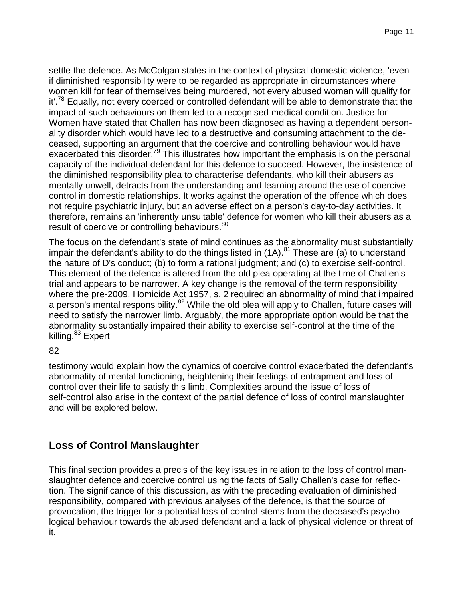settle the defence. As McColgan states in the context of physical domestic violence, 'even if diminished responsibility were to be regarded as appropriate in circumstances where women kill for fear of themselves being murdered, not every abused woman will qualify for it'.<sup>78</sup> Equally, not every coerced or controlled defendant will be able to demonstrate that the impact of such behaviours on them led to a recognised medical condition. Justice for Women have stated that Challen has now been diagnosed as having a dependent personality disorder which would have led to a destructive and consuming attachment to the deceased, supporting an argument that the coercive and controlling behaviour would have exacerbated this disorder.<sup>79</sup> This illustrates how important the emphasis is on the personal capacity of the individual defendant for this defence to succeed. However, the insistence of the diminished responsibility plea to characterise defendants, who kill their abusers as mentally unwell, detracts from the understanding and learning around the use of coercive control in domestic relationships. It works against the operation of the offence which does not require psychiatric injury, but an adverse effect on a person's day-to-day activities. It therefore, remains an 'inherently unsuitable' defence for women who kill their abusers as a result of coercive or controlling behaviours.<sup>80</sup>

The focus on the defendant's state of mind continues as the abnormality must substantially impair the defendant's ability to do the things listed in  $(1A)$ .<sup>81</sup> These are (a) to understand the nature of D's conduct; (b) to form a rational judgment; and (c) to exercise self-control. This element of the defence is altered from the old plea operating at the time of Challen's trial and appears to be narrower. A key change is the removal of the term responsibility where the pre-2009, Homicide Act 1957, s. 2 required an abnormality of mind that impaired a person's mental responsibility.<sup>82</sup> While the old plea will apply to Challen, future cases will need to satisfy the narrower limb. Arguably, the more appropriate option would be that the abnormality substantially impaired their ability to exercise self-control at the time of the killing. $83$  Expert

### 82

testimony would explain how the dynamics of coercive control exacerbated the defendant's abnormality of mental functioning, heightening their feelings of entrapment and loss of control over their life to satisfy this limb. Complexities around the issue of loss of self-control also arise in the context of the partial defence of loss of control manslaughter and will be explored below.

# **Loss of Control Manslaughter**

This final section provides a precis of the key issues in relation to the loss of control manslaughter defence and coercive control using the facts of Sally Challen's case for reflection. The significance of this discussion, as with the preceding evaluation of diminished responsibility, compared with previous analyses of the defence, is that the source of provocation, the trigger for a potential loss of control stems from the deceased's psychological behaviour towards the abused defendant and a lack of physical violence or threat of it.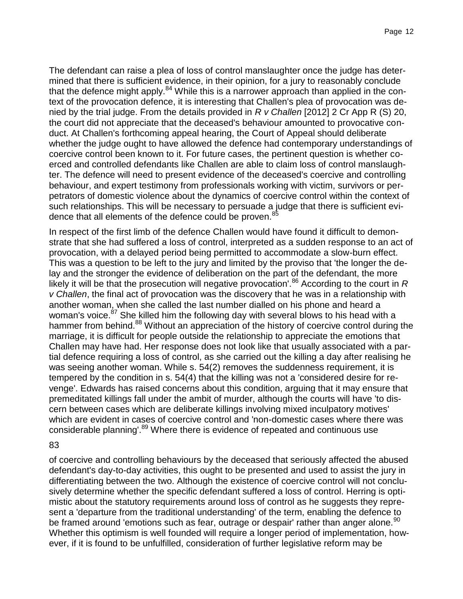The defendant can raise a plea of loss of control manslaughter once the judge has determined that there is sufficient evidence, in their opinion, for a jury to reasonably conclude that the defence might apply.<sup>84</sup> While this is a narrower approach than applied in the context of the provocation defence, it is interesting that Challen's plea of provocation was denied by the trial judge. From the details provided in *R v Challen* [2012] 2 Cr App R (S) 20, the court did not appreciate that the deceased's behaviour amounted to provocative conduct. At Challen's forthcoming appeal hearing, the Court of Appeal should deliberate whether the judge ought to have allowed the defence had contemporary understandings of coercive control been known to it. For future cases, the pertinent question is whether coerced and controlled defendants like Challen are able to claim loss of control manslaughter. The defence will need to present evidence of the deceased's coercive and controlling behaviour, and expert testimony from professionals working with victim, survivors or perpetrators of domestic violence about the dynamics of coercive control within the context of such relationships. This will be necessary to persuade a judge that there is sufficient evidence that all elements of the defence could be proven.<sup>85</sup>

In respect of the first limb of the defence Challen would have found it difficult to demonstrate that she had suffered a loss of control, interpreted as a sudden response to an act of provocation, with a delayed period being permitted to accommodate a slow-burn effect. This was a question to be left to the jury and limited by the proviso that 'the longer the delay and the stronger the evidence of deliberation on the part of the defendant, the more likely it will be that the prosecution will negative provocation<sup>'86</sup> According to the court in *R v Challen*, the final act of provocation was the discovery that he was in a relationship with another woman, when she called the last number dialled on his phone and heard a woman's voice. $87$  She killed him the following day with several blows to his head with a hammer from behind.<sup>88</sup> Without an appreciation of the history of coercive control during the marriage, it is difficult for people outside the relationship to appreciate the emotions that Challen may have had. Her response does not look like that usually associated with a partial defence requiring a loss of control, as she carried out the killing a day after realising he was seeing another woman. While s. 54(2) removes the suddenness requirement, it is tempered by the condition in s. 54(4) that the killing was not a 'considered desire for revenge'. Edwards has raised concerns about this condition, arguing that it may ensure that premeditated killings fall under the ambit of murder, although the courts will have 'to discern between cases which are deliberate killings involving mixed inculpatory motives' which are evident in cases of coercive control and 'non-domestic cases where there was considerable planning'.<sup>89</sup> Where there is evidence of repeated and continuous use

### 83

of coercive and controlling behaviours by the deceased that seriously affected the abused defendant's day-to-day activities, this ought to be presented and used to assist the jury in differentiating between the two. Although the existence of coercive control will not conclusively determine whether the specific defendant suffered a loss of control. Herring is optimistic about the statutory requirements around loss of control as he suggests they represent a 'departure from the traditional understanding' of the term, enabling the defence to be framed around 'emotions such as fear, outrage or despair' rather than anger alone.<sup>90</sup> Whether this optimism is well founded will require a longer period of implementation, however, if it is found to be unfulfilled, consideration of further legislative reform may be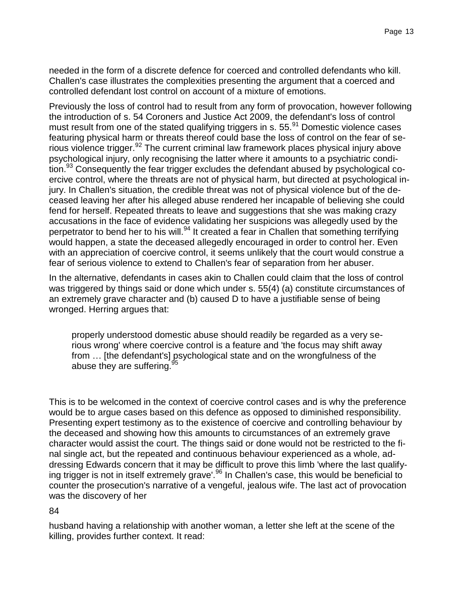needed in the form of a discrete defence for coerced and controlled defendants who kill. Challen's case illustrates the complexities presenting the argument that a coerced and controlled defendant lost control on account of a mixture of emotions.

Previously the loss of control had to result from any form of provocation, however following the introduction of s. 54 Coroners and Justice Act 2009, the defendant's loss of control must result from one of the stated qualifying triggers in s.  $55.<sup>91</sup>$  Domestic violence cases featuring physical harm or threats thereof could base the loss of control on the fear of serious violence trigger. $92$  The current criminal law framework places physical injury above psychological injury, only recognising the latter where it amounts to a psychiatric condition.<sup>93</sup> Consequently the fear trigger excludes the defendant abused by psychological coercive control, where the threats are not of physical harm, but directed at psychological injury. In Challen's situation, the credible threat was not of physical violence but of the deceased leaving her after his alleged abuse rendered her incapable of believing she could fend for herself. Repeated threats to leave and suggestions that she was making crazy accusations in the face of evidence validating her suspicions was allegedly used by the perpetrator to bend her to his will.<sup>94</sup> It created a fear in Challen that something terrifying would happen, a state the deceased allegedly encouraged in order to control her. Even with an appreciation of coercive control, it seems unlikely that the court would construe a fear of serious violence to extend to Challen's fear of separation from her abuser.

In the alternative, defendants in cases akin to Challen could claim that the loss of control was triggered by things said or done which under s. 55(4) (a) constitute circumstances of an extremely grave character and (b) caused D to have a justifiable sense of being wronged. Herring argues that:

properly understood domestic abuse should readily be regarded as a very serious wrong' where coercive control is a feature and 'the focus may shift away from … [the defendant's] psychological state and on the wrongfulness of the abuse they are suffering.<sup>9</sup>

This is to be welcomed in the context of coercive control cases and is why the preference would be to argue cases based on this defence as opposed to diminished responsibility. Presenting expert testimony as to the existence of coercive and controlling behaviour by the deceased and showing how this amounts to circumstances of an extremely grave character would assist the court. The things said or done would not be restricted to the final single act, but the repeated and continuous behaviour experienced as a whole, addressing Edwards concern that it may be difficult to prove this limb 'where the last qualifying trigger is not in itself extremely grave'.<sup>96</sup> In Challen's case, this would be beneficial to counter the prosecution's narrative of a vengeful, jealous wife. The last act of provocation was the discovery of her

84

husband having a relationship with another woman, a letter she left at the scene of the killing, provides further context. It read: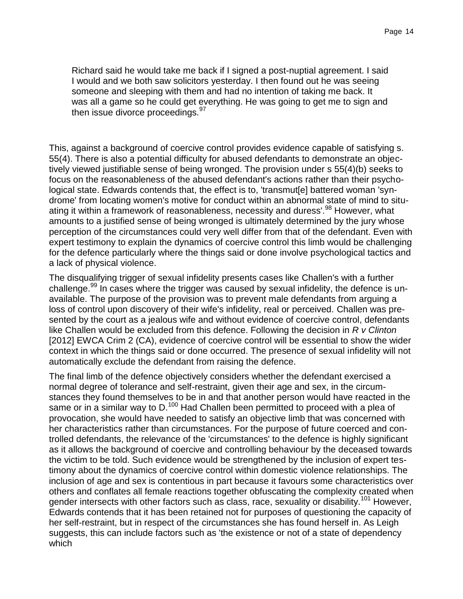Richard said he would take me back if I signed a post-nuptial agreement. I said I would and we both saw solicitors yesterday. I then found out he was seeing someone and sleeping with them and had no intention of taking me back. It was all a game so he could get everything. He was going to get me to sign and then issue divorce proceedings.<sup>97</sup>

This, against a background of coercive control provides evidence capable of satisfying s. 55(4). There is also a potential difficulty for abused defendants to demonstrate an objectively viewed justifiable sense of being wronged. The provision under s 55(4)(b) seeks to focus on the reasonableness of the abused defendant's actions rather than their psychological state. Edwards contends that, the effect is to, 'transmut[e] battered woman 'syndrome' from locating women's motive for conduct within an abnormal state of mind to situating it within a framework of reasonableness, necessity and duress'.<sup>98</sup> However, what amounts to a justified sense of being wronged is ultimately determined by the jury whose perception of the circumstances could very well differ from that of the defendant. Even with expert testimony to explain the dynamics of coercive control this limb would be challenging for the defence particularly where the things said or done involve psychological tactics and a lack of physical violence.

The disqualifying trigger of sexual infidelity presents cases like Challen's with a further challenge.<sup>99</sup> In cases where the trigger was caused by sexual infidelity, the defence is unavailable. The purpose of the provision was to prevent male defendants from arguing a loss of control upon discovery of their wife's infidelity, real or perceived. Challen was presented by the court as a jealous wife and without evidence of coercive control, defendants like Challen would be excluded from this defence. Following the decision in *R v Clinton* [2012] EWCA Crim 2 (CA), evidence of coercive control will be essential to show the wider context in which the things said or done occurred. The presence of sexual infidelity will not automatically exclude the defendant from raising the defence.

The final limb of the defence objectively considers whether the defendant exercised a normal degree of tolerance and self-restraint, given their age and sex, in the circumstances they found themselves to be in and that another person would have reacted in the same or in a similar way to D.<sup>100</sup> Had Challen been permitted to proceed with a plea of provocation, she would have needed to satisfy an objective limb that was concerned with her characteristics rather than circumstances. For the purpose of future coerced and controlled defendants, the relevance of the 'circumstances' to the defence is highly significant as it allows the background of coercive and controlling behaviour by the deceased towards the victim to be told. Such evidence would be strengthened by the inclusion of expert testimony about the dynamics of coercive control within domestic violence relationships. The inclusion of age and sex is contentious in part because it favours some characteristics over others and conflates all female reactions together obfuscating the complexity created when gender intersects with other factors such as class, race, sexuality or disability.<sup>101</sup> However, Edwards contends that it has been retained not for purposes of questioning the capacity of her self-restraint, but in respect of the circumstances she has found herself in. As Leigh suggests, this can include factors such as 'the existence or not of a state of dependency which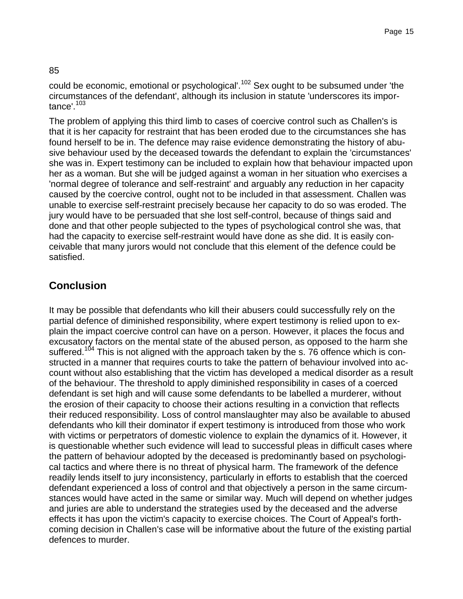### 85

could be economic, emotional or psychological'.<sup>102</sup> Sex ought to be subsumed under 'the circumstances of the defendant', although its inclusion in statute 'underscores its importance'. $103$ 

The problem of applying this third limb to cases of coercive control such as Challen's is that it is her capacity for restraint that has been eroded due to the circumstances she has found herself to be in. The defence may raise evidence demonstrating the history of abusive behaviour used by the deceased towards the defendant to explain the 'circumstances' she was in. Expert testimony can be included to explain how that behaviour impacted upon her as a woman. But she will be judged against a woman in her situation who exercises a 'normal degree of tolerance and self-restraint' and arguably any reduction in her capacity caused by the coercive control, ought not to be included in that assessment. Challen was unable to exercise self-restraint precisely because her capacity to do so was eroded. The jury would have to be persuaded that she lost self-control, because of things said and done and that other people subjected to the types of psychological control she was, that had the capacity to exercise self-restraint would have done as she did. It is easily conceivable that many jurors would not conclude that this element of the defence could be satisfied.

# **Conclusion**

It may be possible that defendants who kill their abusers could successfully rely on the partial defence of diminished responsibility, where expert testimony is relied upon to explain the impact coercive control can have on a person. However, it places the focus and excusatory factors on the mental state of the abused person, as opposed to the harm she suffered.<sup>104</sup> This is not aligned with the approach taken by the s. 76 offence which is constructed in a manner that requires courts to take the pattern of behaviour involved into account without also establishing that the victim has developed a medical disorder as a result of the behaviour. The threshold to apply diminished responsibility in cases of a coerced defendant is set high and will cause some defendants to be labelled a murderer, without the erosion of their capacity to choose their actions resulting in a conviction that reflects their reduced responsibility. Loss of control manslaughter may also be available to abused defendants who kill their dominator if expert testimony is introduced from those who work with victims or perpetrators of domestic violence to explain the dynamics of it. However, it is questionable whether such evidence will lead to successful pleas in difficult cases where the pattern of behaviour adopted by the deceased is predominantly based on psychological tactics and where there is no threat of physical harm. The framework of the defence readily lends itself to jury inconsistency, particularly in efforts to establish that the coerced defendant experienced a loss of control and that objectively a person in the same circumstances would have acted in the same or similar way. Much will depend on whether judges and juries are able to understand the strategies used by the deceased and the adverse effects it has upon the victim's capacity to exercise choices. The Court of Appeal's forthcoming decision in Challen's case will be informative about the future of the existing partial defences to murder.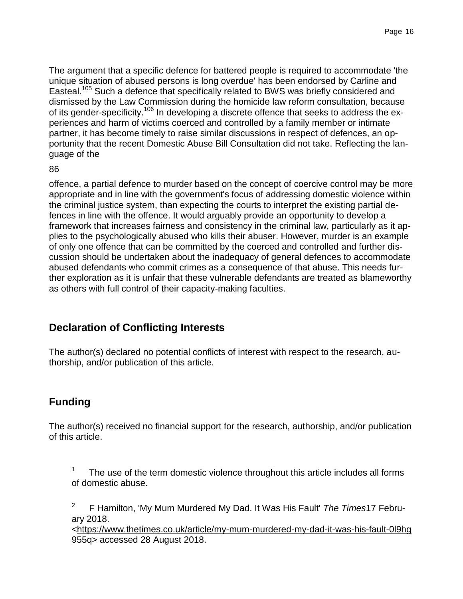The argument that a specific defence for battered people is required to accommodate 'the unique situation of abused persons is long overdue' has been endorsed by Carline and Easteal.<sup>105</sup> Such a defence that specifically related to BWS was briefly considered and dismissed by the Law Commission during the homicide law reform consultation, because of its gender-specificity.<sup>106</sup> In developing a discrete offence that seeks to address the experiences and harm of victims coerced and controlled by a family member or intimate partner, it has become timely to raise similar discussions in respect of defences, an opportunity that the recent Domestic Abuse Bill Consultation did not take. Reflecting the language of the

### 86

offence, a partial defence to murder based on the concept of coercive control may be more appropriate and in line with the government's focus of addressing domestic violence within the criminal justice system, than expecting the courts to interpret the existing partial defences in line with the offence. It would arguably provide an opportunity to develop a framework that increases fairness and consistency in the criminal law, particularly as it applies to the psychologically abused who kills their abuser. However, murder is an example of only one offence that can be committed by the coerced and controlled and further discussion should be undertaken about the inadequacy of general defences to accommodate abused defendants who commit crimes as a consequence of that abuse. This needs further exploration as it is unfair that these vulnerable defendants are treated as blameworthy as others with full control of their capacity-making faculties.

# **Declaration of Conflicting Interests**

The author(s) declared no potential conflicts of interest with respect to the research, authorship, and/or publication of this article.

# **Funding**

The author(s) received no financial support for the research, authorship, and/or publication of this article.

1 The use of the term domestic violence throughout this article includes all forms of domestic abuse.

2 F Hamilton, 'My Mum Murdered My Dad. It Was His Fault' *The Times*17 February 2018.

<https://www.thetimes.co.uk/article/my-mum-murdered-my-dad-it-was-his-fault-0l9hg 955q> accessed 28 August 2018.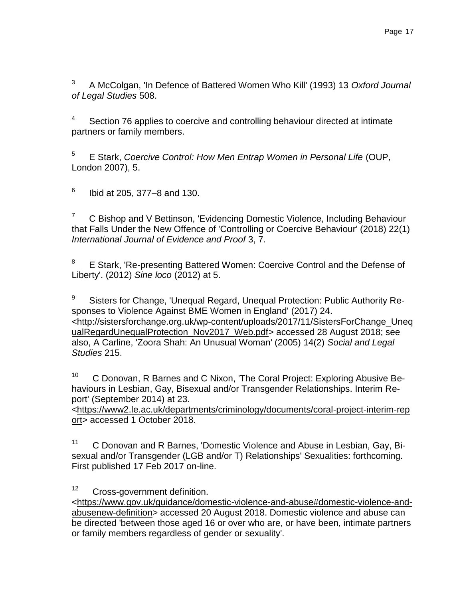<sup>3</sup> A McColgan, 'In Defence of Battered Women Who Kill' (1993) 13 *Oxford Journal of Legal Studies* 508.

<sup>4</sup> Section 76 applies to coercive and controlling behaviour directed at intimate partners or family members.

<sup>5</sup> E Stark, *Coercive Control: How Men Entrap Women in Personal Life* (OUP, London 2007), 5.

6 Ibid at 205, 377–8 and 130.

 $7$  C Bishop and V Bettinson, 'Evidencing Domestic Violence, Including Behaviour that Falls Under the New Offence of 'Controlling or Coercive Behaviour' (2018) 22(1) *International Journal of Evidence and Proof* 3, 7.

<sup>8</sup> E Stark, 'Re-presenting Battered Women: Coercive Control and the Defense of Liberty'. (2012) *Sine loco* (2012) at 5.

<sup>9</sup> Sisters for Change, 'Unequal Regard, Unequal Protection: Public Authority Responses to Violence Against BME Women in England' (2017) 24. <http://sistersforchange.org.uk/wp-content/uploads/2017/11/SistersForChange\_Uneq ualRegardUnequalProtection\_Nov2017\_Web.pdf> accessed 28 August 2018; see also, A Carline, 'Zoora Shah: An Unusual Woman' (2005) 14(2) *Social and Legal Studies* 215.

 $10$  C Donovan, R Barnes and C Nixon, 'The Coral Project: Exploring Abusive Behaviours in Lesbian, Gay, Bisexual and/or Transgender Relationships. Interim Report' (September 2014) at 23.

<https://www2.le.ac.uk/departments/criminology/documents/coral-project-interim-rep ort> accessed 1 October 2018.

<sup>11</sup> C Donovan and R Barnes, 'Domestic Violence and Abuse in Lesbian, Gay, Bisexual and/or Transgender (LGB and/or T) Relationships' Sexualities: forthcoming. First published 17 Feb 2017 on-line.

<sup>12</sup> Cross-government definition.

<https://www.gov.uk/guidance/domestic-violence-and-abuse#domestic-violence-andabusenew-definition> accessed 20 August 2018. Domestic violence and abuse can be directed 'between those aged 16 or over who are, or have been, intimate partners or family members regardless of gender or sexuality'.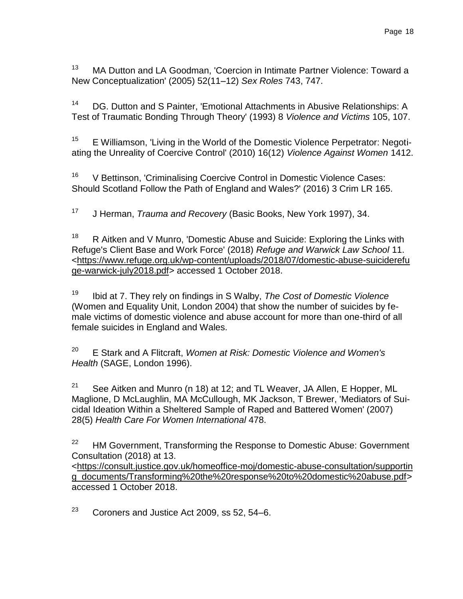<sup>13</sup> MA Dutton and LA Goodman, 'Coercion in Intimate Partner Violence: Toward a New Conceptualization' (2005) 52(11–12) *Sex Roles* 743, 747.

<sup>14</sup> DG. Dutton and S Painter, 'Emotional Attachments in Abusive Relationships: A Test of Traumatic Bonding Through Theory' (1993) 8 *Violence and Victims* 105, 107.

 $15$  E Williamson, 'Living in the World of the Domestic Violence Perpetrator: Negotiating the Unreality of Coercive Control' (2010) 16(12) *Violence Against Women* 1412.

<sup>16</sup> V Bettinson, 'Criminalising Coercive Control in Domestic Violence Cases: Should Scotland Follow the Path of England and Wales?' (2016) 3 Crim LR 165.

<sup>17</sup> J Herman, *Trauma and Recovery* (Basic Books, New York 1997), 34.

<sup>18</sup> R Aitken and V Munro, 'Domestic Abuse and Suicide: Exploring the Links with Refuge's Client Base and Work Force' (2018) *Refuge and Warwick Law School* 11. <https://www.refuge.org.uk/wp-content/uploads/2018/07/domestic-abuse-suiciderefu ge-warwick-july2018.pdf> accessed 1 October 2018.

<sup>19</sup> Ibid at 7. They rely on findings in S Walby, *The Cost of Domestic Violence* (Women and Equality Unit, London 2004) that show the number of suicides by female victims of domestic violence and abuse account for more than one-third of all female suicides in England and Wales.

<sup>20</sup> E Stark and A Flitcraft, *Women at Risk: Domestic Violence and Women's Health* (SAGE, London 1996).

<sup>21</sup> See Aitken and Munro (n 18) at 12; and TL Weaver, JA Allen, E Hopper, ML Maglione, D McLaughlin, MA McCullough, MK Jackson, T Brewer, 'Mediators of Suicidal Ideation Within a Sheltered Sample of Raped and Battered Women' (2007) 28(5) *Health Care For Women International* 478.

<sup>22</sup> HM Government, Transforming the Response to Domestic Abuse: Government Consultation (2018) at 13.

<https://consult.justice.gov.uk/homeoffice-moj/domestic-abuse-consultation/supportin g\_documents/Transforming%20the%20response%20to%20domestic%20abuse.pdf> accessed 1 October 2018.

 $23$  Coroners and Justice Act 2009, ss 52, 54–6.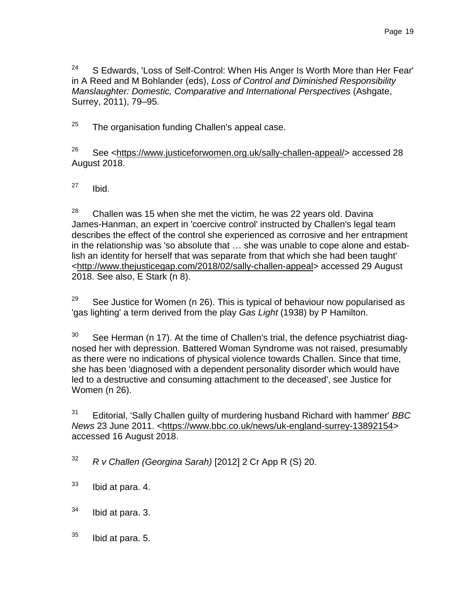$24$  S Edwards, 'Loss of Self-Control: When His Anger Is Worth More than Her Fear' in A Reed and M Bohlander (eds), *Loss of Control and Diminished Responsibility Manslaughter: Domestic, Comparative and International Perspectives* (Ashgate, Surrey, 2011), 79–95.

25 The organisation funding Challen's appeal case.

<sup>26</sup> See <https://www.justiceforwomen.org.uk/sally-challen-appeal/> accessed 28 August 2018.

 $27$  Ibid.

<sup>28</sup> Challen was 15 when she met the victim, he was 22 years old. Davina James-Hanman, an expert in 'coercive control' instructed by Challen's legal team describes the effect of the control she experienced as corrosive and her entrapment in the relationship was 'so absolute that … she was unable to cope alone and establish an identity for herself that was separate from that which she had been taught' <http://www.thejusticegap.com/2018/02/sally-challen-appeal> accessed 29 August 2018. See also, E Stark (n 8).

<sup>29</sup> See Justice for Women (n 26). This is typical of behaviour now popularised as 'gas lighting' a term derived from the play *Gas Light* (1938) by P Hamilton.

 $30$  See Herman (n 17). At the time of Challen's trial, the defence psychiatrist diagnosed her with depression. Battered Woman Syndrome was not raised, presumably as there were no indications of physical violence towards Challen. Since that time, she has been 'diagnosed with a dependent personality disorder which would have led to a destructive and consuming attachment to the deceased', see Justice for Women (n 26).

<sup>31</sup> Editorial, 'Sally Challen guilty of murdering husband Richard with hammer' *BBC News* 23 June 2011. <https://www.bbc.co.uk/news/uk-england-surrey-13892154> accessed 16 August 2018.

<sup>32</sup> *R v Challen (Georgina Sarah)* [2012] 2 Cr App R (S) 20.

- $33$  Ibid at para. 4.
- $34$  Ibid at para. 3.
- $35$  Ibid at para. 5.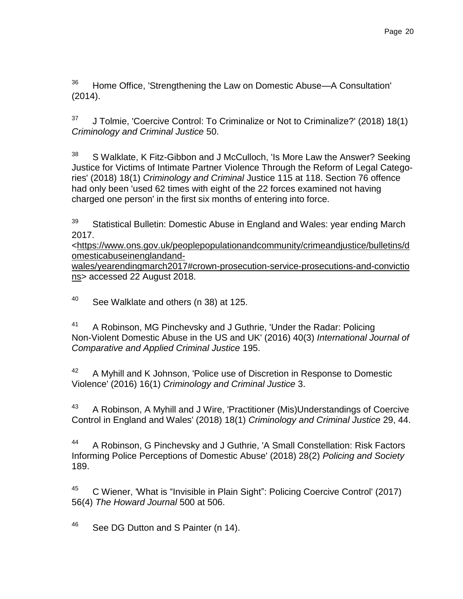$36$  Home Office, 'Strengthening the Law on Domestic Abuse—A Consultation' (2014).

 $37$  J Tolmie, 'Coercive Control: To Criminalize or Not to Criminalize?' (2018) 18(1) *Criminology and Criminal Justice* 50.

<sup>38</sup> S Walklate, K Fitz-Gibbon and J McCulloch, 'Is More Law the Answer? Seeking Justice for Victims of Intimate Partner Violence Through the Reform of Legal Categories' (2018) 18(1) *Criminology and Criminal* Justice 115 at 118. Section 76 offence had only been 'used 62 times with eight of the 22 forces examined not having charged one person' in the first six months of entering into force.

 $39$  Statistical Bulletin: Domestic Abuse in England and Wales: year ending March 2017.

<https://www.ons.gov.uk/peoplepopulationandcommunity/crimeandjustice/bulletins/d omesticabuseinenglandand-

wales/yearendingmarch2017#crown-prosecution-service-prosecutions-and-convictio ns> accessed 22 August 2018.

<sup>40</sup> See Walklate and others (n 38) at 125.

<sup>41</sup> A Robinson, MG Pinchevsky and J Guthrie, 'Under the Radar: Policing Non-Violent Domestic Abuse in the US and UK' (2016) 40(3) *International Journal of Comparative and Applied Criminal Justice* 195.

42 A Myhill and K Johnson, 'Police use of Discretion in Response to Domestic Violence' (2016) 16(1) *Criminology and Criminal Justice* 3.

43 A Robinson, A Myhill and J Wire, 'Practitioner (Mis) Understandings of Coercive Control in England and Wales' (2018) 18(1) *Criminology and Criminal Justice* 29, 44.

44 A Robinson, G Pinchevsky and J Guthrie, 'A Small Constellation: Risk Factors Informing Police Perceptions of Domestic Abuse' (2018) 28(2) *Policing and Society* 189.

 $45$  C Wiener, 'What is "Invisible in Plain Sight": Policing Coercive Control' (2017) 56(4) *The Howard Journal* 500 at 506.

<sup>46</sup> See DG Dutton and S Painter (n 14).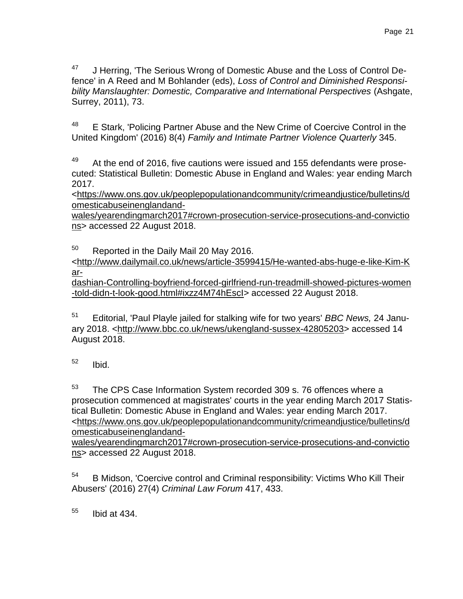<sup>47</sup> J Herring, 'The Serious Wrong of Domestic Abuse and the Loss of Control Defence' in A Reed and M Bohlander (eds), *Loss of Control and Diminished Responsibility Manslaughter: Domestic, Comparative and International Perspectives* (Ashgate, Surrey, 2011), 73.

 $48$  E Stark, 'Policing Partner Abuse and the New Crime of Coercive Control in the United Kingdom' (2016) 8(4) *Family and Intimate Partner Violence Quarterly* 345.

 $49$  At the end of 2016, five cautions were issued and 155 defendants were prosecuted: Statistical Bulletin: Domestic Abuse in England and Wales: year ending March 2017.

<https://www.ons.gov.uk/peoplepopulationandcommunity/crimeandjustice/bulletins/d omesticabuseinenglandand-

wales/yearendingmarch2017#crown-prosecution-service-prosecutions-and-convictio ns> accessed 22 August 2018.

<sup>50</sup> Reported in the Daily Mail 20 May 2016.

<http://www.dailymail.co.uk/news/article-3599415/He-wanted-abs-huge-e-like-Kim-K ar-

dashian-Controlling-boyfriend-forced-girlfriend-run-treadmill-showed-pictures-women -told-didn-t-look-good.html#ixzz4M74hEscI> accessed 22 August 2018.

<sup>51</sup> Editorial, 'Paul Playle jailed for stalking wife for two years' *BBC News,* 24 January 2018. <http://www.bbc.co.uk/news/ukengland-sussex-42805203> accessed 14 August 2018.

 $52$  Ibid.

<sup>53</sup> The CPS Case Information System recorded 309 s. 76 offences where a prosecution commenced at magistrates' courts in the year ending March 2017 Statistical Bulletin: Domestic Abuse in England and Wales: year ending March 2017. <https://www.ons.gov.uk/peoplepopulationandcommunity/crimeandjustice/bulletins/d omesticabuseinenglandand-

wales/yearendingmarch2017#crown-prosecution-service-prosecutions-and-convictio ns> accessed 22 August 2018.

<sup>54</sup> B Midson, 'Coercive control and Criminal responsibility: Victims Who Kill Their Abusers' (2016) 27(4) *Criminal Law Forum* 417, 433.

 $55$  Ibid at 434.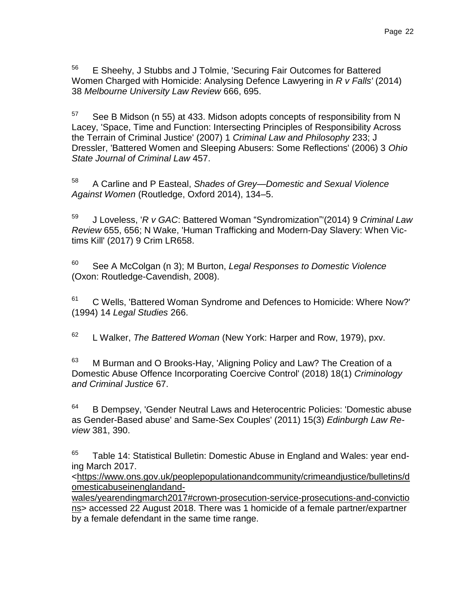<sup>56</sup> E Sheehy, J Stubbs and J Tolmie, 'Securing Fair Outcomes for Battered Women Charged with Homicide: Analysing Defence Lawyering in *R v Falls'* (2014) 38 *Melbourne University Law Review* 666, 695.

 $57$  See B Midson (n 55) at 433. Midson adopts concepts of responsibility from N Lacey, 'Space, Time and Function: Intersecting Principles of Responsibility Across the Terrain of Criminal Justice' (2007) 1 *Criminal Law and Philosophy* 233; J Dressler, 'Battered Women and Sleeping Abusers: Some Reflections' (2006) 3 *Ohio State Journal of Criminal Law* 457.

<sup>58</sup> A Carline and P Easteal, *Shades of Grey—Domestic and Sexual Violence Against Women* (Routledge, Oxford 2014), 134–5.

<sup>59</sup> J Loveless, '*R v GAC*: Battered Woman "Syndromization"'(2014) 9 *Criminal Law Review* 655, 656; N Wake, 'Human Trafficking and Modern-Day Slavery: When Victims Kill' (2017) 9 Crim LR658.

<sup>60</sup> See A McColgan (n 3); M Burton, *Legal Responses to Domestic Violence* (Oxon: Routledge-Cavendish, 2008).

<sup>61</sup> C Wells, 'Battered Woman Syndrome and Defences to Homicide: Where Now?' (1994) 14 *Legal Studies* 266.

<sup>62</sup> L Walker, *The Battered Woman* (New York: Harper and Row, 1979), pxv.

<sup>63</sup> M Burman and O Brooks-Hay, 'Aligning Policy and Law? The Creation of a Domestic Abuse Offence Incorporating Coercive Control' (2018) 18(1) *Criminology and Criminal Justice* 67.

<sup>64</sup> B Dempsey, 'Gender Neutral Laws and Heterocentric Policies: 'Domestic abuse as Gender-Based abuse' and Same-Sex Couples' (2011) 15(3) *Edinburgh Law Review* 381, 390.

 $65$  Table 14: Statistical Bulletin: Domestic Abuse in England and Wales: year ending March 2017.

<https://www.ons.gov.uk/peoplepopulationandcommunity/crimeandjustice/bulletins/d omesticabuseinenglandand-

wales/yearendingmarch2017#crown-prosecution-service-prosecutions-and-convictio ns> accessed 22 August 2018. There was 1 homicide of a female partner/expartner by a female defendant in the same time range.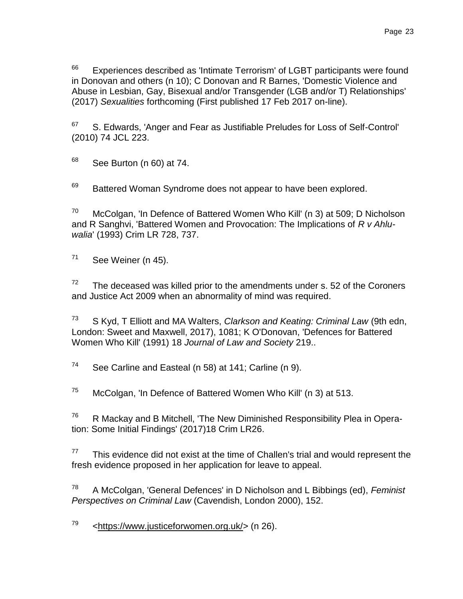<sup>66</sup> Experiences described as 'Intimate Terrorism' of LGBT participants were found in Donovan and others (n 10); C Donovan and R Barnes, 'Domestic Violence and Abuse in Lesbian, Gay, Bisexual and/or Transgender (LGB and/or T) Relationships' (2017) *Sexualities* forthcoming (First published 17 Feb 2017 on-line).

 $67$  S. Edwards, 'Anger and Fear as Justifiable Preludes for Loss of Self-Control' (2010) 74 JCL 223.

 $68$  See Burton (n 60) at 74.

 $69$  Battered Woman Syndrome does not appear to have been explored.

 $70$  McColgan, 'In Defence of Battered Women Who Kill' (n 3) at 509; D Nicholson and R Sanghvi, 'Battered Women and Provocation: The Implications of *R v Ahluwalia*' (1993) Crim LR 728, 737.

 $71$  See Weiner (n 45).

 $72$  The deceased was killed prior to the amendments under s. 52 of the Coroners and Justice Act 2009 when an abnormality of mind was required.

<sup>73</sup> S Kyd, T Elliott and MA Walters, *Clarkson and Keating: Criminal Law* (9th edn, London: Sweet and Maxwell, 2017), 1081; K O'Donovan, 'Defences for Battered Women Who Kill' (1991) 18 *Journal of Law and Society* 219..

 $74$  See Carline and Easteal (n 58) at 141; Carline (n 9).

 $75$  McColgan, 'In Defence of Battered Women Who Kill' (n 3) at 513.

 $76$  R Mackay and B Mitchell, 'The New Diminished Responsibility Plea in Operation: Some Initial Findings' (2017)18 Crim LR26.

 $77$  This evidence did not exist at the time of Challen's trial and would represent the fresh evidence proposed in her application for leave to appeal.

<sup>78</sup> A McColgan, 'General Defences' in D Nicholson and L Bibbings (ed), *Feminist Perspectives on Criminal Law* (Cavendish, London 2000), 152.

 $79$  <https://www.justiceforwomen.org.uk/> (n 26).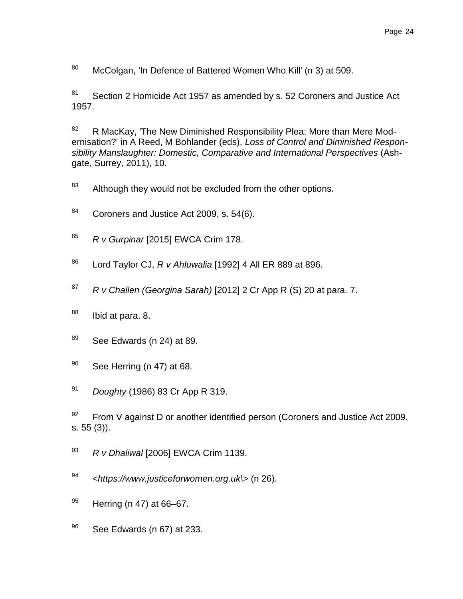80 McColgan, 'In Defence of Battered Women Who Kill' (n 3) at 509.

 $81$  Section 2 Homicide Act 1957 as amended by s. 52 Coroners and Justice Act 1957.

 $82$  R MacKay, 'The New Diminished Responsibility Plea: More than Mere Modernisation?' in A Reed, M Bohlander (eds), *Loss of Control and Diminished Responsibility Manslaughter: Domestic, Comparative and International Perspectives* (Ashgate, Surrey, 2011), 10.

- 83 Although they would not be excluded from the other options.
- 84 Coroners and Justice Act 2009, s. 54(6).
- <sup>85</sup> *R v Gurpinar* [2015] EWCA Crim 178.
- <sup>86</sup> Lord Taylor CJ, *R v Ahluwalia* [1992] 4 All ER 889 at 896.
- <sup>87</sup> *R v Challen (Georgina Sarah)* [2012] 2 Cr App R (S) 20 at para. 7.
- <sup>88</sup> Ibid at para. 8.
- $89$  See Edwards (n 24) at 89.
- $90$  See Herring (n 47) at 68.
- <sup>91</sup> *Doughty* (1986) 83 Cr App R 319.

 $92$  From V against D or another identified person (Coroners and Justice Act 2009, s. 55 (3)).

- <sup>93</sup> *R v Dhaliwal* [2006] EWCA Crim 1139.
- <sup>94</sup> <*https://www.justiceforwomen.org.uk\>* (n 26).
- $95$  Herring (n 47) at 66–67.
- $96$  See Edwards (n 67) at 233.